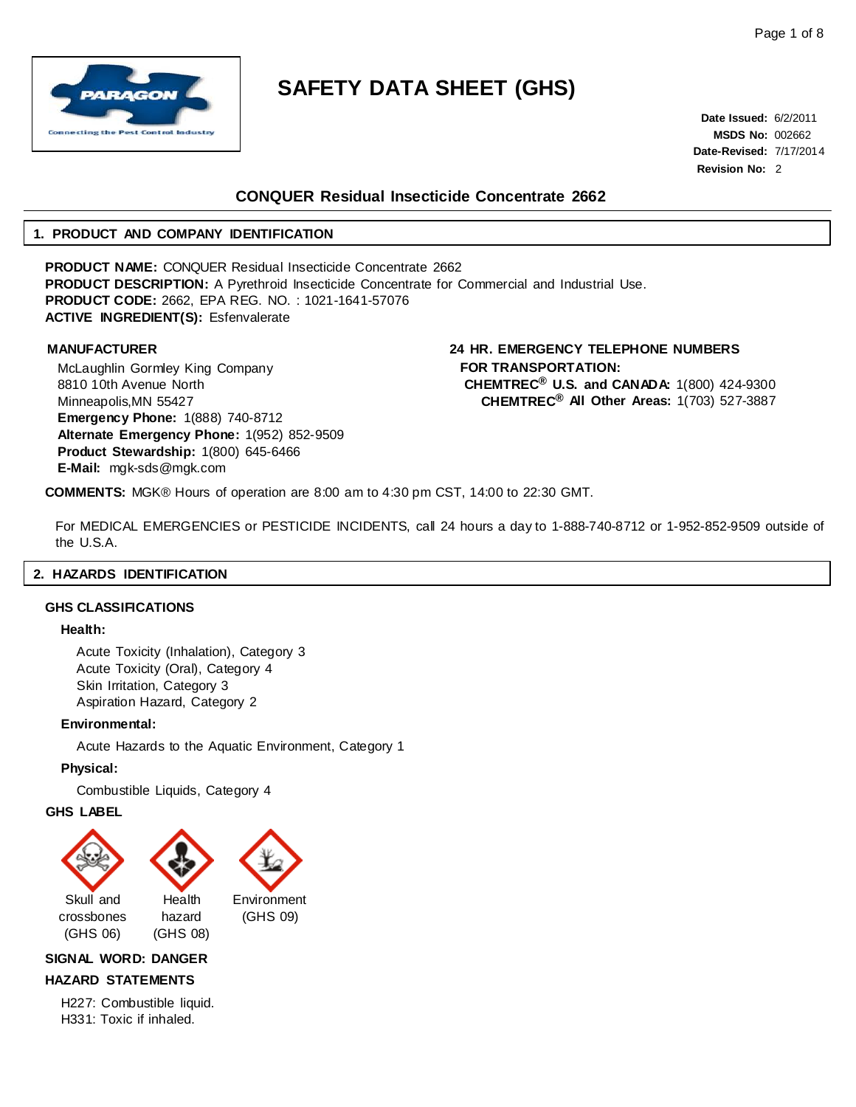

**Date Issued:** 6/2/2011 **MSDS No:** 002662 **Date-Revised:** 7/17/2014 **Revision No:** 2

## **CONQUER Residual Insecticide Concentrate 2662**

## **1. PRODUCT AND COMPANY IDENTIFICATION**

**PRODUCT NAME:** CONQUER Residual Insecticide Concentrate 2662 **PRODUCT DESCRIPTION:** A Pyrethroid Insecticide Concentrate for Commercial and Industrial Use. **PRODUCT CODE:** 2662, EPA REG. NO. : 1021-1641-57076 **ACTIVE INGREDIENT(S):** Esfenvalerate

McLaughlin Gormley King Company 8810 10th Avenue North Minneapolis,MN 55427 **Emergency Phone:** 1(888) 740-8712 **Alternate Emergency Phone:** 1(952) 852-9509 **Product Stewardship:** 1(800) 645-6466 **E-Mail:** [mgk-sds@mgk.com](mailto:mgk-sds@mgk.com)

**MANUFACTURER 24 HR. EMERGENCY TELEPHONE NUMBERS FOR TRANSPORTATION: CHEMTREC® U.S. and CANADA:** 1(800) 424-9300 **CHEMTREC® All Other Areas:** 1(703) 527-3887

**COMMENTS:** MGK® Hours of operation are 8:00 am to 4:30 pm CST, 14:00 to 22:30 GMT.

For MEDICAL EMERGENCIES or PESTICIDE INCIDENTS, call 24 hours a day to 1-888-740-8712 or 1-952-852-9509 outside of the U.S.A.

## **2. HAZARDS IDENTIFICATION**

#### <span id="page-0-0"></span>**GHS CLASSIFICATIONS**

### **Health:**

Acute Toxicity (Inhalation), Category 3 Acute Toxicity (Oral), Category 4 Skin Irritation, Category 3 Aspiration Hazard, Category 2

## **Environmental:**

Acute Hazards to the Aquatic Environment, Category 1

## **Physical:**

Combustible Liquids, Category 4

#### **GHS LABEL**



**SIGNAL WORD: DANGER**

## **HAZARD STATEMENTS**

H227: Combustible liquid. H331: Toxic if inhaled.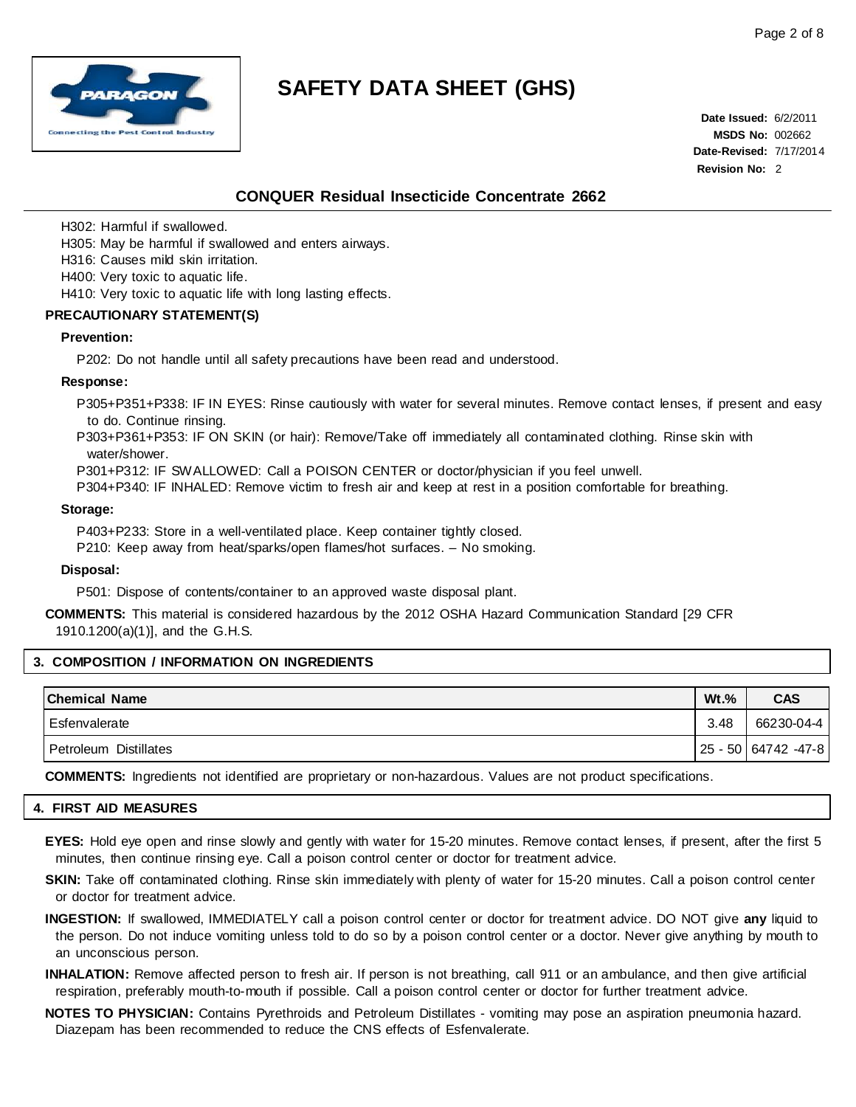

**Date Issued:** 6/2/2011 **MSDS No:** 002662 **Date-Revised:** 7/17/2014 **Revision No:** 2

## **CONQUER Residual Insecticide Concentrate 2662**

H302: Harmful if swallowed.

H305: May be harmful if swallowed and enters airways.

H316: Causes mild skin irritation.

H400: Very toxic to aquatic life.

H410: Very toxic to aquatic life with long lasting effects.

### **PRECAUTIONARY STATEMENT(S)**

#### **Prevention:**

P202: Do not handle until all safety precautions have been read and understood.

#### **Response:**

P305+P351+P338: IF IN EYES: Rinse cautiously with water for several minutes. Remove contact lenses, if present and easy to do. Continue rinsing.

- P303+P361+P353: IF ON SKIN (or hair): Remove/Take off immediately all contaminated clothing. Rinse skin with water/shower.
- P301+P312: IF SWALLOWED: Call a POISON CENTER or doctor/physician if you feel unwell.

P304+P340: IF INHALED: Remove victim to fresh air and keep at rest in a position comfortable for breathing.

#### **Storage:**

P403+P233: Store in a well-ventilated place. Keep container tightly closed.

P210: Keep away from heat/sparks/open flames/hot surfaces. – No smoking.

#### **Disposal:**

P501: Dispose of contents/container to an approved waste disposal plant.

**COMMENTS:** This material is considered hazardous by the 2012 OSHA Hazard Communication Standard [29 CFR 1910.1200(a)(1)], and the G.H.S.

### **3. COMPOSITION / INFORMATION ON INGREDIENTS**

| <b>Chemical Name</b>  | $Wt.$ % | <b>CAS</b>          |
|-----------------------|---------|---------------------|
| Esfenvalerate         | 3.48    | 66230-04-4          |
| Petroleum Distillates |         | 25 - 50 64742 -47-8 |

**COMMENTS:** Ingredients not identified are proprietary or non-hazardous. Values are not product specifications.

## **4. FIRST AID MEASURES**

**EYES:** Hold eye open and rinse slowly and gently with water for 15-20 minutes. Remove contact lenses, if present, after the first 5 minutes, then continue rinsing eye. Call a poison control center or doctor for treatment advice.

**SKIN:** Take off contaminated clothing. Rinse skin immediately with plenty of water for 15-20 minutes. Call a poison control center or doctor for treatment advice.

- **INGESTION:** If swallowed, IMMEDIATELY call a poison control center or doctor for treatment advice. DO NOT give **any** liquid to the person. Do not induce vomiting unless told to do so by a poison control center or a doctor. Never give anything by mouth to an unconscious person.
- **INHALATION:** Remove affected person to fresh air. If person is not breathing, call 911 or an ambulance, and then give artificial respiration, preferably mouth-to-mouth if possible. Call a poison control center or doctor for further treatment advice.
- **NOTES TO PHYSICIAN:** Contains Pyrethroids and Petroleum Distillates vomiting may pose an aspiration pneumonia hazard. Diazepam has been recommended to reduce the CNS effects of Esfenvalerate.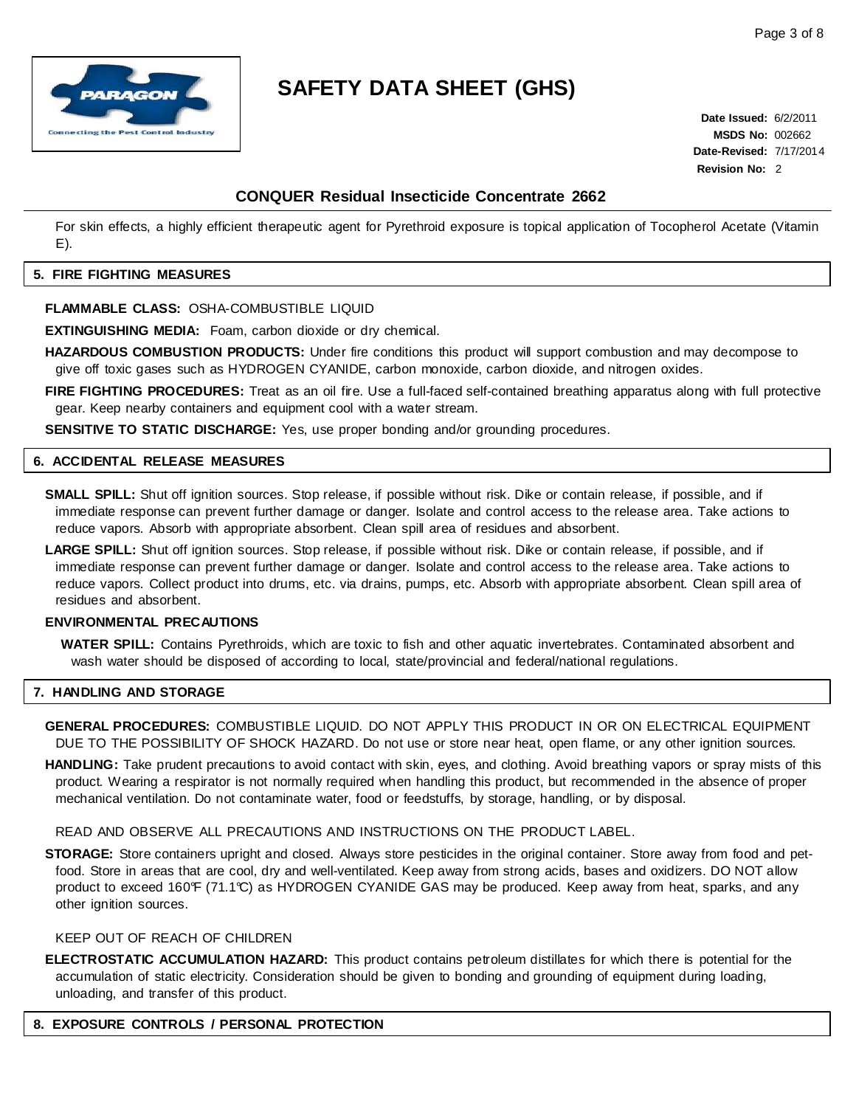

**Date Issued:** 6/2/2011 **MSDS No:** 002662 **Date-Revised:** 7/17/2014 **Revision No:** 2

## **CONQUER Residual Insecticide Concentrate 2662**

For skin effects, a highly efficient therapeutic agent for Pyrethroid exposure is topical application of Tocopherol Acetate (Vitamin E).

## **5. FIRE FIGHTING MEASURES**

## **FLAMMABLE CLASS:** OSHA-COMBUSTIBLE LIQUID

**EXTINGUISHING MEDIA:** Foam, carbon dioxide or dry chemical.

**HAZARDOUS COMBUSTION PRODUCTS:** Under fire conditions this product will support combustion and may decompose to give off toxic gases such as HYDROGEN CYANIDE, carbon monoxide, carbon dioxide, and nitrogen oxides.

**FIRE FIGHTING PROCEDURES:** Treat as an oil fire. Use a full-faced self-contained breathing apparatus along with full protective gear. Keep nearby containers and equipment cool with a water stream.

**SENSITIVE TO STATIC DISCHARGE:** Yes, use proper bonding and/or grounding procedures.

## **6. ACCIDENTAL RELEASE MEASURES**

**SMALL SPILL:** Shut off ignition sources. Stop release, if possible without risk. Dike or contain release, if possible, and if immediate response can prevent further damage or danger. Isolate and control access to the release area. Take actions to reduce vapors. Absorb with appropriate absorbent. Clean spill area of residues and absorbent.

**LARGE SPILL:** Shut off ignition sources. Stop release, if possible without risk. Dike or contain release, if possible, and if immediate response can prevent further damage or danger. Isolate and control access to the release area. Take actions to reduce vapors. Collect product into drums, etc. via drains, pumps, etc. Absorb with appropriate absorbent. Clean spill area of residues and absorbent.

## **ENVIRONMENTAL PRECAUTIONS**

**WATER SPILL:** Contains Pyrethroids, which are toxic to fish and other aquatic invertebrates. Contaminated absorbent and wash water should be disposed of according to local, state/provincial and federal/national regulations.

## **7. HANDLING AND STORAGE**

**GENERAL PROCEDURES:** COMBUSTIBLE LIQUID. DO NOT APPLY THIS PRODUCT IN OR ON ELECTRICAL EQUIPMENT DUE TO THE POSSIBILITY OF SHOCK HAZARD. Do not use or store near heat, open flame, or any other ignition sources.

**HANDLING:** Take prudent precautions to avoid contact with skin, eyes, and clothing. Avoid breathing vapors or spray mists of this product. Wearing a respirator is not normally required when handling this product, but recommended in the absence of proper mechanical ventilation. Do not contaminate water, food or feedstuffs, by storage, handling, or by disposal.

READ AND OBSERVE ALL PRECAUTIONS AND INSTRUCTIONS ON THE PRODUCT LABEL.

**STORAGE:** Store containers upright and closed. Always store pesticides in the original container. Store away from food and petfood. Store in areas that are cool, dry and well-ventilated. Keep away from strong acids, bases and oxidizers. DO NOT allow product to exceed 160°F (71.1°C) as HYDROGEN CYANIDE GAS may be produced. Keep away from heat, sparks, and any other ignition sources.

## KEEP OUT OF REACH OF CHILDREN

**ELECTROSTATIC ACCUMULATION HAZARD:** This product contains petroleum distillates for which there is potential for the accumulation of static electricity. Consideration should be given to bonding and grounding of equipment during loading, unloading, and transfer of this product.

### **8. EXPOSURE CONTROLS / PERSONAL PROTECTION**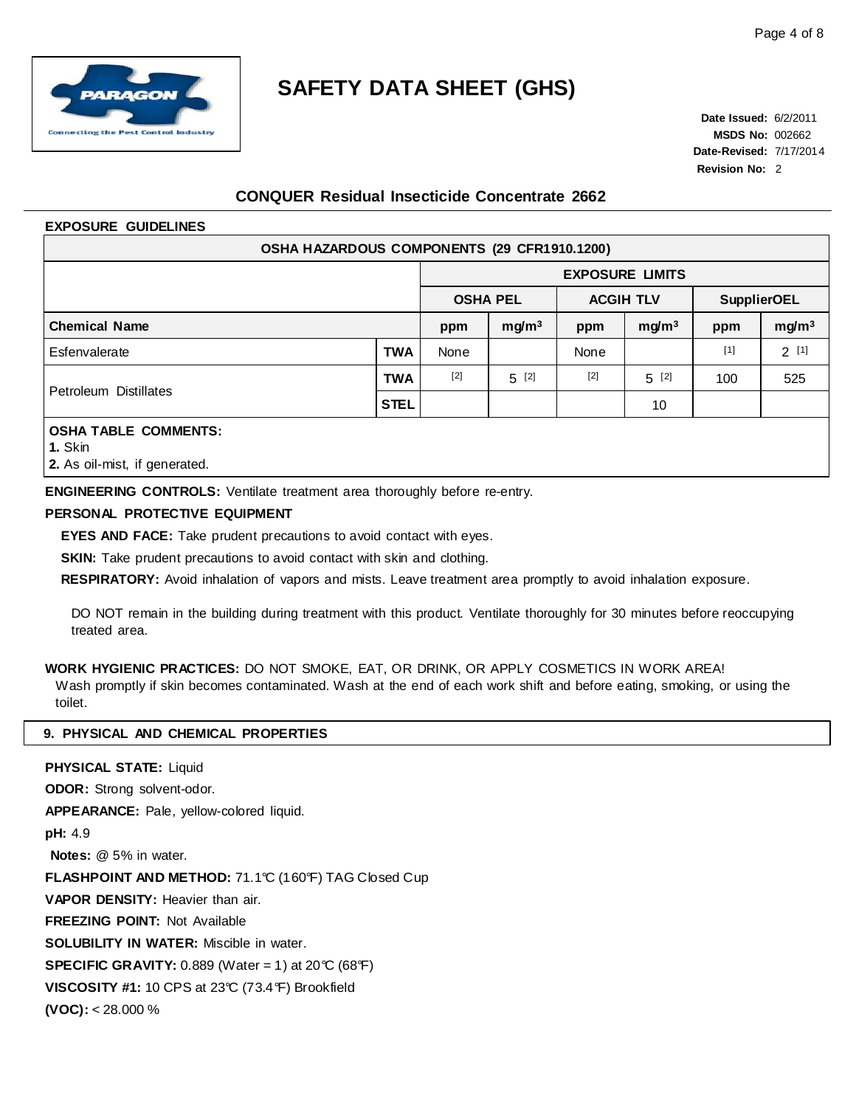

**Date Issued:** 6/2/2011 **MSDS No:** 002662 **Date-Revised:** 7/17/2014 **Revision No:** 2

## **CONQUER Residual Insecticide Concentrate 2662**

## **EXPOSURE GUIDELINES**

| OSHA HAZARDOUS COMPONENTS (29 CFR1910.1200) |             |                 |                        |                  |                   |                    |                   |  |  |
|---------------------------------------------|-------------|-----------------|------------------------|------------------|-------------------|--------------------|-------------------|--|--|
|                                             |             |                 | <b>EXPOSURE LIMITS</b> |                  |                   |                    |                   |  |  |
|                                             |             | <b>OSHA PEL</b> |                        | <b>ACGIH TLV</b> |                   | <b>SupplierOEL</b> |                   |  |  |
| <b>Chemical Name</b>                        |             | ppm             | mg/m <sup>3</sup>      | ppm              | mg/m <sup>3</sup> | ppm                | mg/m <sup>3</sup> |  |  |
| Esfenvalerate                               | <b>TWA</b>  | None            |                        | None             |                   | $[1]$              | 2[1]              |  |  |
| Petroleum Distillates                       | <b>TWA</b>  | $[2]$           | $5^{[2]}$              | $[2]$            | $5^{[2]}$         | 100                | 525               |  |  |
|                                             | <b>STEL</b> |                 |                        |                  | 10                |                    |                   |  |  |
| <b>OSHA TABLE COMMENTS:</b>                 |             |                 |                        |                  |                   |                    |                   |  |  |

### **1.** Skin

**2.** As oil-mist, if generated.

**ENGINEERING CONTROLS:** Ventilate treatment area thoroughly before re-entry.

## **PERSONAL PROTECTIVE EQUIPMENT**

**EYES AND FACE:** Take prudent precautions to avoid contact with eyes.

**SKIN:** Take prudent precautions to avoid contact with skin and clothing.

**RESPIRATORY:** Avoid inhalation of vapors and mists. Leave treatment area promptly to avoid inhalation exposure.

DO NOT remain in the building during treatment with this product. Ventilate thoroughly for 30 minutes before reoccupying treated area.

**WORK HYGIENIC PRACTICES:** DO NOT SMOKE, EAT, OR DRINK, OR APPLY COSMETICS IN WORK AREA!

Wash promptly if skin becomes contaminated. Wash at the end of each work shift and before eating, smoking, or using the toilet.

## **9. PHYSICAL AND CHEMICAL PROPERTIES**

**PHYSICAL STATE:** Liquid **ODOR:** Strong solvent-odor. **APPEARANCE:** Pale, yellow-colored liquid. **pH:** 4.9 **Notes:** @ 5% in water. **FLASHPOINT AND METHOD:** 71.1°C (160°F) TAG Closed Cup **VAPOR DENSITY:** Heavier than air. **FREEZING POINT:** Not Available **SOLUBILITY IN WATER:** Miscible in water. **SPECIFIC GRAVITY:** 0.889 (Water = 1) at 20  $\degree$  (68 $\degree$ F) **VISCOSITY #1:** 10 CPS at 23°C (73.4°F) Brookfield **(VOC):** < 28.000 %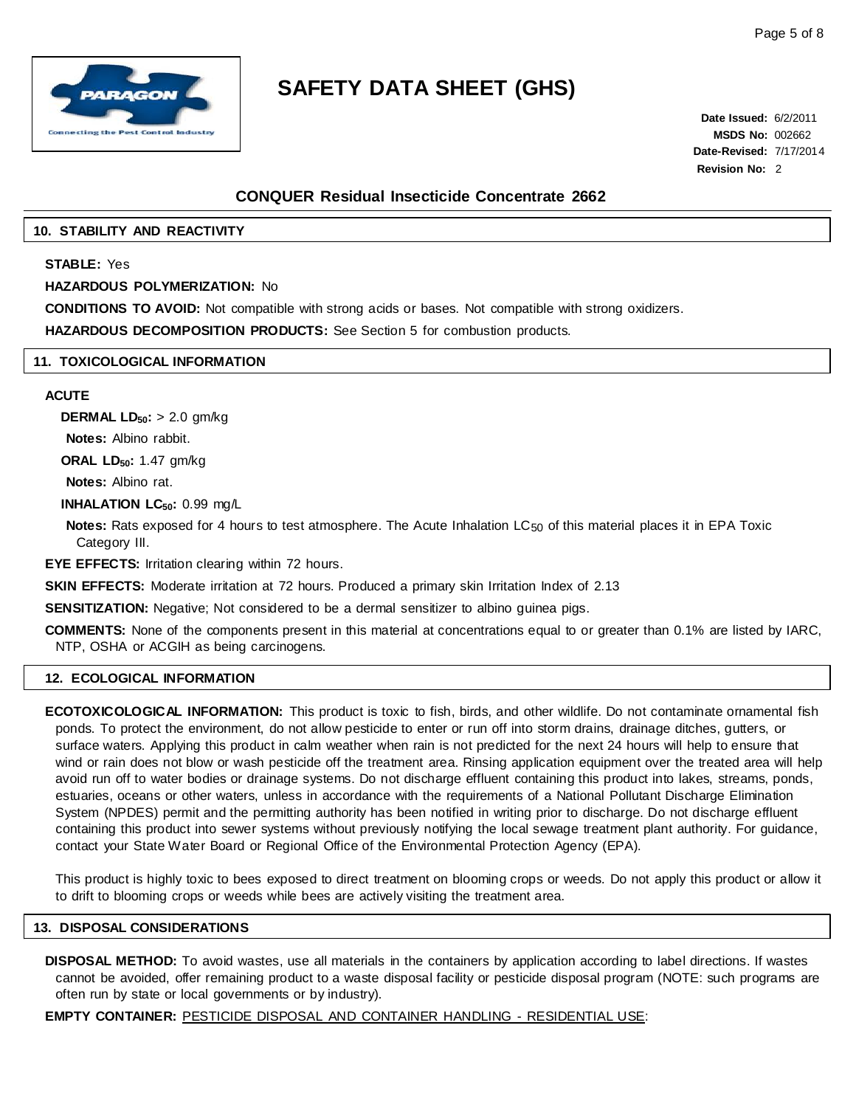

**Date Issued:** 6/2/2011 **MSDS No:** 002662 **Date-Revised:** 7/17/2014 **Revision No:** 2

## **CONQUER Residual Insecticide Concentrate 2662**

## **10. STABILITY AND REACTIVITY**

## **STABLE:** Yes

### **HAZARDOUS POLYMERIZATION:** No

**CONDITIONS TO AVOID:** Not compatible with strong acids or bases. Not compatible with strong oxidizers.

**HAZARDOUS DECOMPOSITION PRODUCTS:** See Section 5 for combustion products.

## **11. TOXICOLOGICAL INFORMATION**

## **ACUTE**

**DERMAL LD<sub>50</sub>: > 2.0 gm/kg Notes:** Albino rabbit.

**ORAL LD50:** 1.47 gm/kg

**Notes:** Albino rat.

**INHALATION LC<sub>50</sub>: 0.99 mg/L** 

**Notes:** Rats exposed for 4 hours to test atmosphere. The Acute Inhalation LC<sub>50</sub> of this material places it in EPA Toxic Category III.

**EYE EFFECTS:** Irritation clearing within 72 hours.

**SKIN EFFECTS:** Moderate irritation at 72 hours. Produced a primary skin Irritation Index of 2.13

**SENSITIZATION:** Negative; Not considered to be a dermal sensitizer to albino guinea pigs.

**COMMENTS:** None of the components present in this material at concentrations equal to or greater than 0.1% are listed by IARC, NTP, OSHA or ACGIH as being carcinogens.

### **12. ECOLOGICAL INFORMATION**

**ECOTOXICOLOGICAL INFORMATION:** This product is toxic to fish, birds, and other wildlife. Do not contaminate ornamental fish ponds. To protect the environment, do not allow pesticide to enter or run off into storm drains, drainage ditches, gutters, or surface waters. Applying this product in calm weather when rain is not predicted for the next 24 hours will help to ensure that wind or rain does not blow or wash pesticide off the treatment area. Rinsing application equipment over the treated area will help avoid run off to water bodies or drainage systems. Do not discharge effluent containing this product into lakes, streams, ponds, estuaries, oceans or other waters, unless in accordance with the requirements of a National Pollutant Discharge Elimination System (NPDES) permit and the permitting authority has been notified in writing prior to discharge. Do not discharge effluent containing this product into sewer systems without previously notifying the local sewage treatment plant authority. For guidance, contact your State Water Board or Regional Office of the Environmental Protection Agency (EPA).

This product is highly toxic to bees exposed to direct treatment on blooming crops or weeds. Do not apply this product or allow it to drift to blooming crops or weeds while bees are actively visiting the treatment area.

#### **13. DISPOSAL CONSIDERATIONS**

**DISPOSAL METHOD:** To avoid wastes, use all materials in the containers by application according to label directions. If wastes cannot be avoided, offer remaining product to a waste disposal facility or pesticide disposal program (NOTE: such programs are often run by state or local governments or by industry).

**EMPTY CONTAINER:** PESTICIDE DISPOSAL AND CONTAINER HANDLING - RESIDENTIAL USE: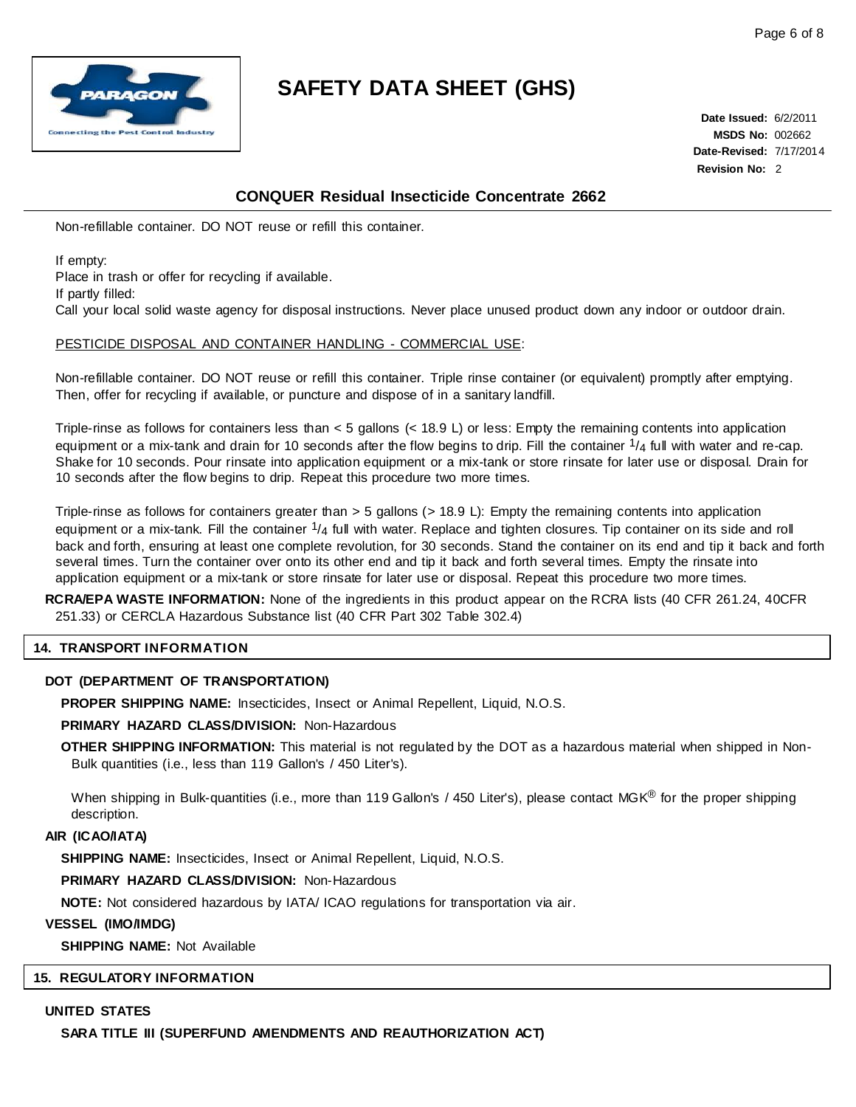

**Date Issued:** 6/2/2011 **MSDS No:** 002662 **Date-Revised:** 7/17/2014 **Revision No:** 2

## **CONQUER Residual Insecticide Concentrate 2662**

Non-refillable container. DO NOT reuse or refill this container.

If empty:

Place in trash or offer for recycling if available.

If partly filled:

Call your local solid waste agency for disposal instructions. Never place unused product down any indoor or outdoor drain.

## PESTICIDE DISPOSAL AND CONTAINER HANDLING - COMMERCIAL USE:

Non-refillable container. DO NOT reuse or refill this container. Triple rinse container (or equivalent) promptly after emptying. Then, offer for recycling if available, or puncture and dispose of in a sanitary landfill.

Triple-rinse as follows for containers less than < 5 gallons (< 18.9 L) or less: Empty the remaining contents into application equipment or a mix-tank and drain for 10 seconds after the flow begins to drip. Fill the container  $\frac{1}{4}$  full with water and re-cap. Shake for 10 seconds. Pour rinsate into application equipment or a mix-tank or store rinsate for later use or disposal. Drain for 10 seconds after the flow begins to drip. Repeat this procedure two more times.

Triple-rinse as follows for containers greater than > 5 gallons (> 18.9 L): Empty the remaining contents into application equipment or a mix-tank. Fill the container  $1/4$  full with water. Replace and tighten closures. Tip container on its side and roll back and forth, ensuring at least one complete revolution, for 30 seconds. Stand the container on its end and tip it back and forth several times. Turn the container over onto its other end and tip it back and forth several times. Empty the rinsate into application equipment or a mix-tank or store rinsate for later use or disposal. Repeat this procedure two more times.

**RCRA/EPA WASTE INFORMATION:** None of the ingredients in this product appear on the RCRA lists (40 CFR 261.24, 40CFR 251.33) or CERCLA Hazardous Substance list (40 CFR Part 302 Table 302.4)

## **14. TRANSPORT INFORMATION**

## **DOT (DEPARTMENT OF TRANSPORTATION)**

**PROPER SHIPPING NAME:** Insecticides, Insect or Animal Repellent, Liquid, N.O.S.

## **PRIMARY HAZARD CLASS/DIVISION:** Non-Hazardous

**OTHER SHIPPING INFORMATION:** This material is not regulated by the DOT as a hazardous material when shipped in Non-Bulk quantities (i.e., less than 119 Gallon's / 450 Liter's).

When shipping in Bulk-quantities (i.e., more than 119 Gallon's / 450 Liter's), please contact MGK<sup>®</sup> for the proper shipping description.

## **AIR (ICAO/IATA)**

**SHIPPING NAME:** Insecticides, Insect or Animal Repellent, Liquid, N.O.S.

**PRIMARY HAZARD CLASS/DIVISION:** Non-Hazardous

**NOTE:** Not considered hazardous by IATA/ ICAO regulations for transportation via air.

## **VESSEL (IMO/IMDG)**

**SHIPPING NAME:** Not Available

## **15. REGULATORY INFORMATION**

### **UNITED STATES**

**SARA TITLE III (SUPERFUND AMENDMENTS AND REAUTHORIZATION ACT)**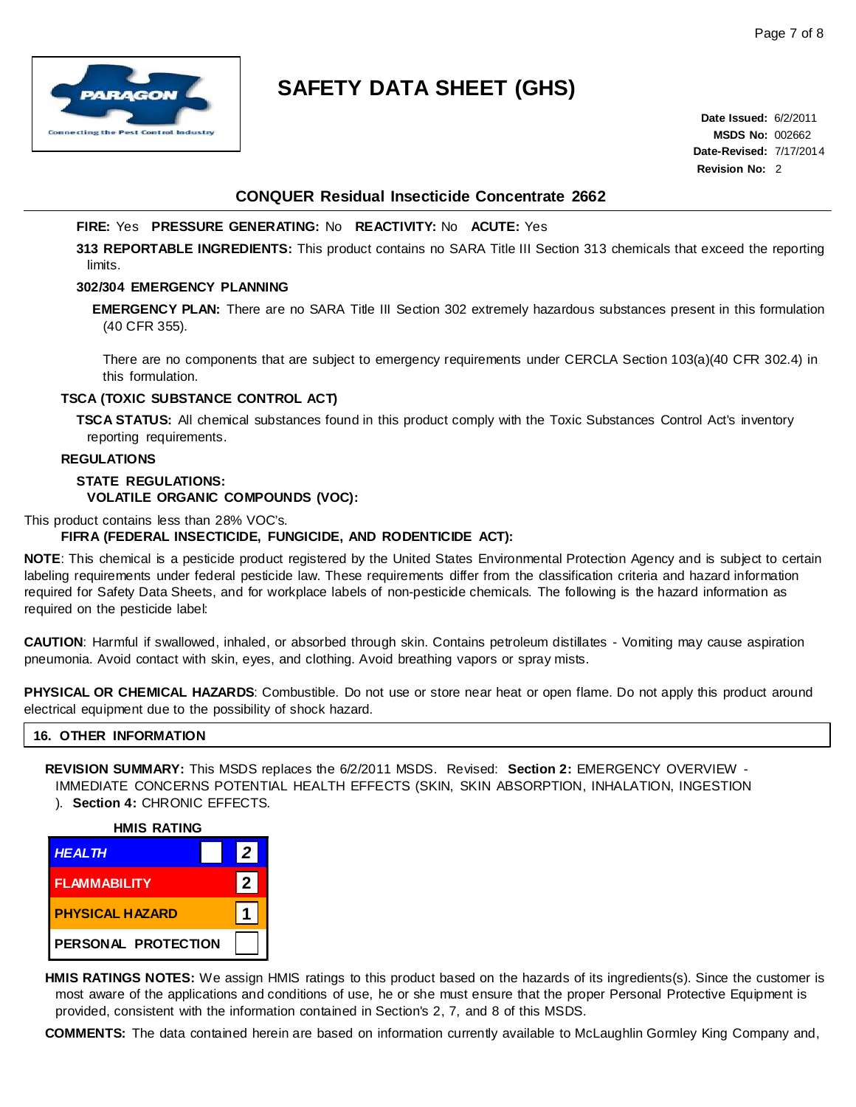

**Date Issued:** 6/2/2011 **MSDS No:** 002662 **Date-Revised:** 7/17/2014 **Revision No:** 2

## **CONQUER Residual Insecticide Concentrate 2662**

## **FIRE:** Yes **PRESSURE GENERATING:** No **REACTIVITY:** No **ACUTE:** Yes

**313 REPORTABLE INGREDIENTS:** This product contains no SARA Title III Section 313 chemicals that exceed the reporting limits.

## **302/304 EMERGENCY PLANNING**

**EMERGENCY PLAN:** There are no SARA Title III Section 302 extremely hazardous substances present in this formulation (40 CFR 355).

There are no components that are subject to emergency requirements under CERCLA Section 103(a)(40 CFR 302.4) in this formulation.

## **TSCA (TOXIC SUBSTANCE CONTROL ACT)**

**TSCA STATUS:** All chemical substances found in this product comply with the Toxic Substances Control Act's inventory reporting requirements.

### **REGULATIONS**

## **STATE REGULATIONS: VOLATILE ORGANIC COMPOUNDS (VOC):**

## This product contains less than 28% VOC's.

## **FIFRA (FEDERAL INSECTICIDE, FUNGICIDE, AND RODENTICIDE ACT):**

**NOTE**: This chemical is a pesticide product registered by the United States Environmental Protection Agency and is subject to certain labeling requirements under federal pesticide law. These requirements differ from the classification criteria and hazard information required for Safety Data Sheets, and for workplace labels of non-pesticide chemicals. The following is the hazard information as required on the pesticide label:

**CAUTION**: Harmful if swallowed, inhaled, or absorbed through skin. Contains petroleum distillates - Vomiting may cause aspiration pneumonia. Avoid contact with skin, eyes, and clothing. Avoid breathing vapors or spray mists.

**PHYSICAL OR CHEMICAL HAZARDS**: Combustible. Do not use or store near heat or open flame. Do not apply this product around electrical equipment due to the possibility of shock hazard.

### **16. OTHER INFORMATION**

**REVISION SUMMARY:** This MSDS replaces the 6/2/2011 MSDS. Revised: **Section 2:** EMERGENCY OVERVIEW - IMMEDIATE CONCERNS POTENTIAL HEALTH EFFECTS (SKIN, SKIN ABSORPTION, INHALATION, INGESTION

## ). **Section 4:** CHRONIC EFFECTS.





**HMIS RATINGS NOTES:** We assign HMIS ratings to this product based on the hazards of its ingredients(s). Since the customer is most aware of the applications and conditions of use, he or she must ensure that the proper Personal Protective Equipment is provided, consistent with the information contained in Section's 2, 7, and 8 of this MSDS.

**COMMENTS:** The data contained herein are based on information currently available to McLaughlin Gormley King Company and,